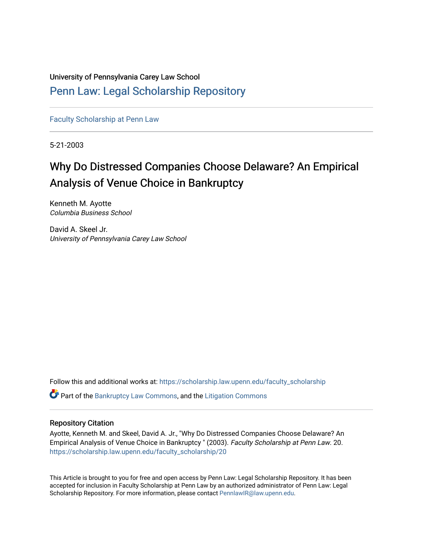University of Pennsylvania Carey Law School

# [Penn Law: Legal Scholarship Repository](https://scholarship.law.upenn.edu/)

[Faculty Scholarship at Penn Law](https://scholarship.law.upenn.edu/faculty_scholarship)

5-21-2003

# Why Do Distressed Companies Choose Delaware? An Empirical Analysis of Venue Choice in Bankruptcy

Kenneth M. Ayotte Columbia Business School

David A. Skeel Jr. University of Pennsylvania Carey Law School

Follow this and additional works at: [https://scholarship.law.upenn.edu/faculty\\_scholarship](https://scholarship.law.upenn.edu/faculty_scholarship?utm_source=scholarship.law.upenn.edu%2Ffaculty_scholarship%2F20&utm_medium=PDF&utm_campaign=PDFCoverPages) 

**P** Part of the [Bankruptcy Law Commons,](https://network.bepress.com/hgg/discipline/583?utm_source=scholarship.law.upenn.edu%2Ffaculty_scholarship%2F20&utm_medium=PDF&utm_campaign=PDFCoverPages) and the Litigation Commons

### Repository Citation

Ayotte, Kenneth M. and Skeel, David A. Jr., "Why Do Distressed Companies Choose Delaware? An Empirical Analysis of Venue Choice in Bankruptcy " (2003). Faculty Scholarship at Penn Law. 20. [https://scholarship.law.upenn.edu/faculty\\_scholarship/20](https://scholarship.law.upenn.edu/faculty_scholarship/20?utm_source=scholarship.law.upenn.edu%2Ffaculty_scholarship%2F20&utm_medium=PDF&utm_campaign=PDFCoverPages) 

This Article is brought to you for free and open access by Penn Law: Legal Scholarship Repository. It has been accepted for inclusion in Faculty Scholarship at Penn Law by an authorized administrator of Penn Law: Legal Scholarship Repository. For more information, please contact [PennlawIR@law.upenn.edu.](mailto:PennlawIR@law.upenn.edu)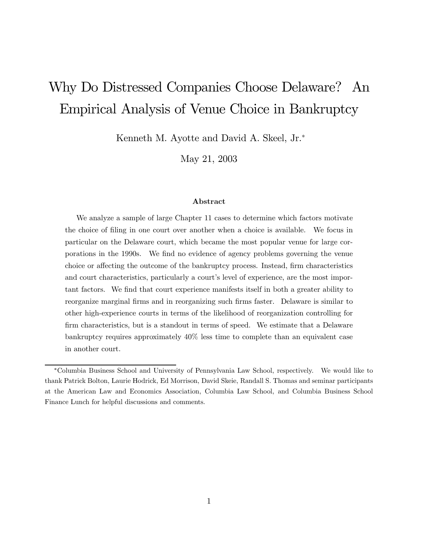# Why Do Distressed Companies Choose Delaware?  $An$ Empirical Analysis of Venue Choice in Bankruptcy

Kenneth M. Ayotte and David A. Skeel, Jr.\*

May 21, 2003

### Abstract

We analyze a sample of large Chapter 11 cases to determine which factors motivate the choice of filing in one court over another when a choice is available. We focus in particular on the Delaware court, which became the most popular venue for large corporations in the 1990s. We find no evidence of agency problems governing the venue choice or affecting the outcome of the bankruptcy process. Instead, firm characteristics and court characteristics, particularly a court's level of experience, are the most important factors. We find that court experience manifests itself in both a greater ability to reorganize marginal firms and in reorganizing such firms faster. Delaware is similar to other high-experience courts in terms of the likelihood of reorganization controlling for firm characteristics, but is a standout in terms of speed. We estimate that a Delaware bankruptcy requires approximately 40% less time to complete than an equivalent case in another court.

<sup>\*</sup>Columbia Business School and University of Pennsylvania Law School, respectively. We would like to thank Patrick Bolton, Laurie Hodrick, Ed Morrison, David Skeie, Randall S. Thomas and seminar participants at the American Law and Economics Association, Columbia Law School, and Columbia Business School Finance Lunch for helpful discussions and comments.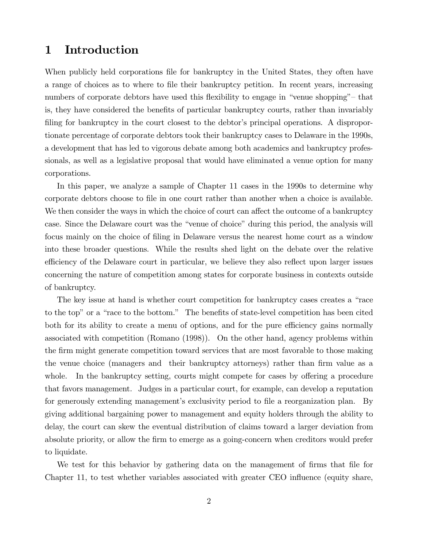### 1 Introduction

When publicly held corporations file for bankruptcy in the United States, they often have a range of choices as to where to file their bankruptcy petition. In recent years, increasing numbers of corporate debtors have used this flexibility to engage in "venue shopping" – that is, they have considered the benefits of particular bankruptcy courts, rather than invariably filing for bankruptcy in the court closest to the debtor's principal operations. A disproportionate percentage of corporate debtors took their bankruptcy cases to Delaware in the 1990s, a development that has led to vigorous debate among both academics and bankruptcy professionals, as well as a legislative proposal that would have eliminated a venue option for many corporations.

In this paper, we analyze a sample of Chapter 11 cases in the 1990s to determine why corporate debtors choose to file in one court rather than another when a choice is available. We then consider the ways in which the choice of court can affect the outcome of a bankruptcy case. Since the Delaware court was the "venue of choice" during this period, the analysis will focus mainly on the choice of filing in Delaware versus the nearest home court as a window into these broader questions. While the results shed light on the debate over the relative efficiency of the Delaware court in particular, we believe they also reflect upon larger issues concerning the nature of competition among states for corporate business in contexts outside of bankruptcy.

The key issue at hand is whether court competition for bankruptcy cases creates a "race" to the top" or a "race to the bottom." The benefits of state-level competition has been cited both for its ability to create a menu of options, and for the pure efficiency gains normally associated with competition (Romano (1998)). On the other hand, agency problems within the firm might generate competition toward services that are most favorable to those making the venue choice (managers and their bankruptcy attorneys) rather than firm value as a whole. In the bankruptcy setting, courts might compete for cases by offering a procedure that favors management. Judges in a particular court, for example, can develop a reputation for generously extending management's exclusivity period to file a reorganization plan. By giving additional bargaining power to management and equity holders through the ability to delay, the court can skew the eventual distribution of claims toward a larger deviation from absolute priority, or allow the firm to emerge as a going-concern when creditors would prefer to liquidate.

We test for this behavior by gathering data on the management of firms that file for Chapter 11, to test whether variables associated with greater CEO influence (equity share,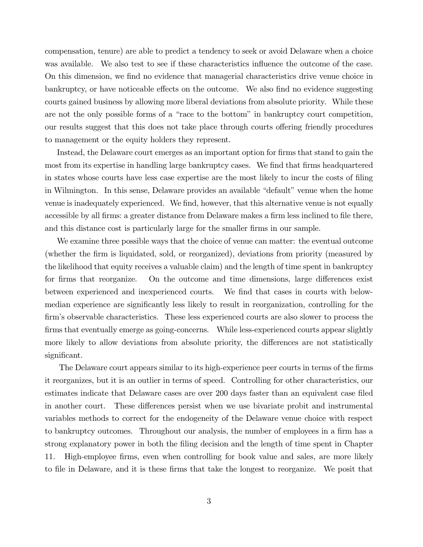compensation, tenure) are able to predict a tendency to seek or avoid Delaware when a choice was available. We also test to see if these characteristics influence the outcome of the case. On this dimension, we find no evidence that managerial characteristics drive venue choice in bankruptcy, or have noticeable effects on the outcome. We also find no evidence suggesting courts gained business by allowing more liberal deviations from absolute priority. While these are not the only possible forms of a "race to the bottom" in bankruptcy court competition, our results suggest that this does not take place through courts offering friendly procedures to management or the equity holders they represent.

Instead, the Delaware court emerges as an important option for firms that stand to gain the most from its expertise in handling large bankruptcy cases. We find that firms headquartered in states whose courts have less case expertise are the most likely to incur the costs of filing in Wilmington. In this sense, Delaware provides an available "default" venue when the home venue is inadequately experienced. We find, however, that this alternative venue is not equally accessible by all firms: a greater distance from Delaware makes a firm less inclined to file there, and this distance cost is particularly large for the smaller firms in our sample.

We examine three possible ways that the choice of venue can matter: the eventual outcome (whether the firm is liquidated, sold, or reorganized), deviations from priority (measured by the likelihood that equity receives a valuable claim) and the length of time spent in bankruptcy for firms that reorganize. On the outcome and time dimensions, large differences exist between experienced and inexperienced courts. We find that cases in courts with belowmedian experience are significantly less likely to result in reorganization, controlling for the firm's observable characteristics. These less experienced courts are also slower to process the firms that eventually emerge as going-concerns. While less-experienced courts appear slightly more likely to allow deviations from absolute priority, the differences are not statistically significant.

The Delaware court appears similar to its high-experience peer courts in terms of the firms it reorganizes, but it is an outlier in terms of speed. Controlling for other characteristics, our estimates indicate that Delaware cases are over 200 days faster than an equivalent case filed in another court. These differences persist when we use bivariate probit and instrumental variables methods to correct for the endogeneity of the Delaware venue choice with respect to bankruptcy outcomes. Throughout our analysis, the number of employees in a firm has a strong explanatory power in both the filing decision and the length of time spent in Chapter High-employee firms, even when controlling for book value and sales, are more likely 11. to file in Delaware, and it is these firms that take the longest to reorganize. We posit that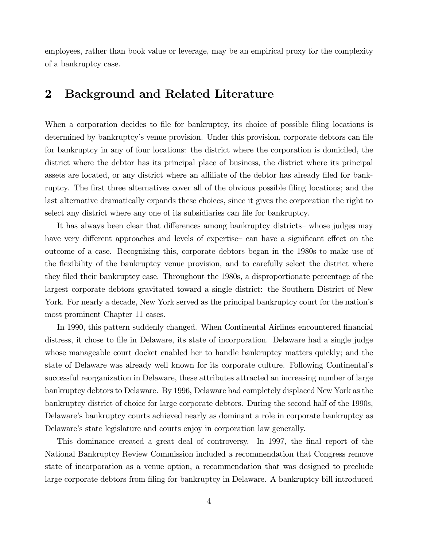employees, rather than book value or leverage, may be an empirical proxy for the complexity of a bankruptcy case.

### $\overline{2}$ **Background and Related Literature**

When a corporation decides to file for bankruptcy, its choice of possible filing locations is determined by bankruptcy's venue provision. Under this provision, corporate debtors can file for bankruptcy in any of four locations: the district where the corporation is domiciled, the district where the debtor has its principal place of business, the district where its principal assets are located, or any district where an affiliate of the debtor has already filed for bankruptcy. The first three alternatives cover all of the obvious possible filing locations; and the last alternative dramatically expands these choices, since it gives the corporation the right to select any district where any one of its subsidiaries can file for bankruptcy.

It has always been clear that differences among bankruptcy districts-whose judges may have very different approaches and levels of expertise can have a significant effect on the outcome of a case. Recognizing this, corporate debtors began in the 1980s to make use of the flexibility of the bankruptcy venue provision, and to carefully select the district where they filed their bankruptcy case. Throughout the 1980s, a disproportionate percentage of the largest corporate debtors gravitated toward a single district: the Southern District of New York. For nearly a decade, New York served as the principal bankruptcy court for the nation's most prominent Chapter 11 cases.

In 1990, this pattern suddenly changed. When Continental Airlines encountered financial distress, it chose to file in Delaware, its state of incorporation. Delaware had a single judge whose manageable court docket enabled her to handle bankruptcy matters quickly; and the state of Delaware was already well known for its corporate culture. Following Continental's successful reorganization in Delaware, these attributes attracted an increasing number of large bankruptcy debtors to Delaware. By 1996, Delaware had completely displaced New York as the bankruptcy district of choice for large corporate debtors. During the second half of the 1990s, Delaware's bankruptcy courts achieved nearly as dominant a role in corporate bankruptcy as Delaware's state legislature and courts enjoy in corporation law generally.

This dominance created a great deal of controversy. In 1997, the final report of the National Bankruptcy Review Commission included a recommendation that Congress remove state of incorporation as a venue option, a recommendation that was designed to preclude large corporate debtors from filing for bankruptcy in Delaware. A bankruptcy bill introduced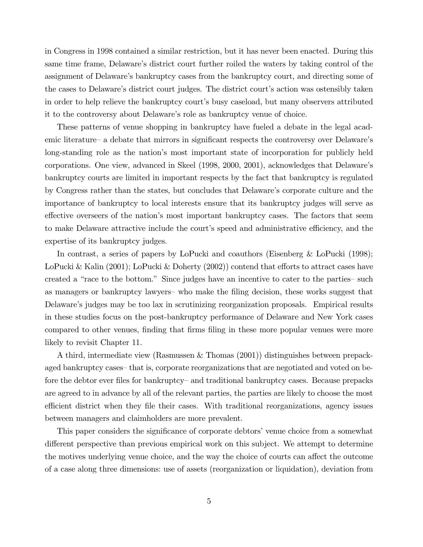in Congress in 1998 contained a similar restriction, but it has never been enacted. During this same time frame, Delaware's district court further roiled the waters by taking control of the assignment of Delaware's bankruptcy cases from the bankruptcy court, and directing some of the cases to Delaware's district court judges. The district court's action was ostensibly taken in order to help relieve the bankruptcy court's busy caseload, but many observers attributed it to the controversy about Delaware's role as bankruptcy venue of choice.

These patterns of venue shopping in bankruptcy have fueled a debate in the legal academic literature – a debate that mirrors in significant respects the controversy over Delaware's long-standing role as the nation's most important state of incorporation for publicly held corporations. One view, advanced in Skeel (1998, 2000, 2001), acknowledges that Delaware's bankruptcy courts are limited in important respects by the fact that bankruptcy is regulated by Congress rather than the states, but concludes that Delaware's corporate culture and the importance of bankruptcy to local interests ensure that its bankruptcy judges will serve as effective overseers of the nation's most important bankruptcy cases. The factors that seem to make Delaware attractive include the court's speed and administrative efficiency, and the expertise of its bankruptcy judges.

In contrast, a series of papers by LoPucki and coauthors (Eisenberg & LoPucki  $(1998)$ ; LoPucki & Kalin (2001); LoPucki & Doherty (2002)) contend that efforts to attract cases have created a "race to the bottom." Since judges have an incentive to cater to the parties- such as managers or bankruptcy lawyers- who make the filing decision, these works suggest that Delaware's judges may be too lax in scrutinizing reorganization proposals. Empirical results in these studies focus on the post-bankruptcy performance of Delaware and New York cases compared to other venues, finding that firms filing in these more popular venues were more likely to revisit Chapter 11.

A third, intermediate view (Rasmussen & Thomas (2001)) distinguishes between prepackaged bankruptcy cases that is, corporate reorganizations that are negotiated and voted on before the debtor ever files for bankruptcy– and traditional bankruptcy cases. Because prepacks are agreed to in advance by all of the relevant parties, the parties are likely to choose the most efficient district when they file their cases. With traditional reorganizations, agency issues between managers and claimholders are more prevalent.

This paper considers the significance of corporate debtors' venue choice from a somewhat different perspective than previous empirical work on this subject. We attempt to determine the motives underlying venue choice, and the way the choice of courts can affect the outcome of a case along three dimensions: use of assets (reorganization or liquidation), deviation from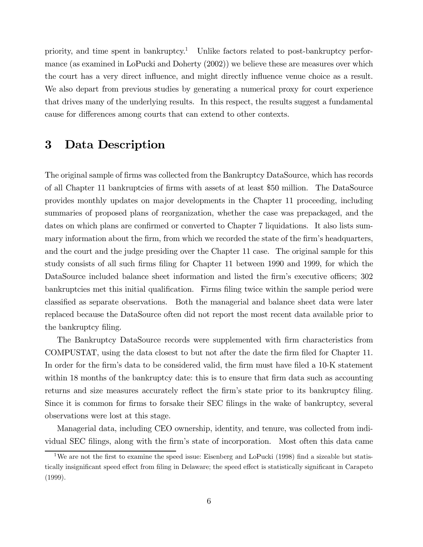priority, and time spent in bankruptcy.<sup>1</sup> Unlike factors related to post-bankruptcy performance (as examined in LoPucki and Doherty  $(2002)$ ) we believe these are measures over which the court has a very direct influence, and might directly influence venue choice as a result. We also depart from previous studies by generating a numerical proxy for court experience that drives many of the underlying results. In this respect, the results suggest a fundamental cause for differences among courts that can extend to other contexts.

### 3 Data Description

The original sample of firms was collected from the Bankruptcy DataSource, which has records of all Chapter 11 bankruptcies of firms with assets of at least \$50 million. The DataSource provides monthly updates on major developments in the Chapter 11 proceeding, including summaries of proposed plans of reorganization, whether the case was prepackaged, and the dates on which plans are confirmed or converted to Chapter 7 liquidations. It also lists summary information about the firm, from which we recorded the state of the firm's headquarters, and the court and the judge presiding over the Chapter 11 case. The original sample for this study consists of all such firms filing for Chapter 11 between 1990 and 1999, for which the DataSource included balance sheet information and listed the firm's executive officers; 302 bankruptcies met this initial qualification. Firms filing twice within the sample period were classified as separate observations. Both the managerial and balance sheet data were later replaced because the DataSource often did not report the most recent data available prior to the bankruptcy filing.

The Bankruptcy DataSource records were supplemented with firm characteristics from COMPUSTAT, using the data closest to but not after the date the firm filed for Chapter 11. In order for the firm's data to be considered valid, the firm must have filed a 10-K statement within 18 months of the bankruptcy date: this is to ensure that firm data such as accounting returns and size measures accurately reflect the firm's state prior to its bankruptcy filing. Since it is common for firms to forsake their SEC filings in the wake of bankruptcy, several observations were lost at this stage.

Managerial data, including CEO ownership, identity, and tenure, was collected from individual SEC filings, along with the firm's state of incorporation. Most often this data came

<sup>&</sup>lt;sup>1</sup>We are not the first to examine the speed issue: Eisenberg and LoPucki (1998) find a sizeable but statistically insignificant speed effect from filing in Delaware; the speed effect is statistically significant in Carapeto  $(1999).$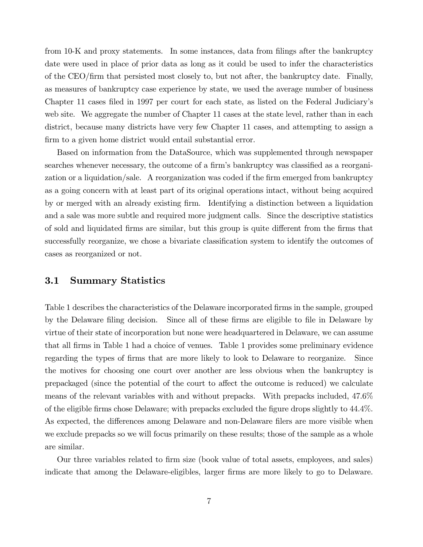from 10-K and proxy statements. In some instances, data from filings after the bankruptcy date were used in place of prior data as long as it could be used to infer the characteristics of the CEO/firm that persisted most closely to, but not after, the bankruptcy date. Finally, as measures of bankruptcy case experience by state, we used the average number of business Chapter 11 cases filed in 1997 per court for each state, as listed on the Federal Judiciary's web site. We aggregate the number of Chapter 11 cases at the state level, rather than in each district, because many districts have very few Chapter 11 cases, and attempting to assign a firm to a given home district would entail substantial error.

Based on information from the DataSource, which was supplemented through newspaper searches whenever necessary, the outcome of a firm's bankruptcy was classified as a reorganization or a liquidation/sale. A reorganization was coded if the firm emerged from bankruptcy as a going concern with at least part of its original operations intact, without being acquired by or merged with an already existing firm. Identifying a distinction between a liquidation and a sale was more subtle and required more judgment calls. Since the descriptive statistics of sold and liquidated firms are similar, but this group is quite different from the firms that successfully reorganize, we chose a bivariate classification system to identify the outcomes of cases as reorganized or not.

#### $3.1$ **Summary Statistics**

Table 1 describes the characteristics of the Delaware incorporated firms in the sample, grouped by the Delaware filing decision. Since all of these firms are eligible to file in Delaware by virtue of their state of incorporation but none were headquartered in Delaware, we can assume that all firms in Table 1 had a choice of venues. Table 1 provides some preliminary evidence regarding the types of firms that are more likely to look to Delaware to reorganize. Since the motives for choosing one court over another are less obvious when the bankruptcy is prepackaged (since the potential of the court to affect the outcome is reduced) we calculate means of the relevant variables with and without prepacks. With prepacks included, 47.6% of the eligible firms chose Delaware; with prepacks excluded the figure drops slightly to 44.4%. As expected, the differences among Delaware and non-Delaware filers are more visible when we exclude prepacks so we will focus primarily on these results; those of the sample as a whole are similar.

Our three variables related to firm size (book value of total assets, employees, and sales) indicate that among the Delaware-eligibles, larger firms are more likely to go to Delaware.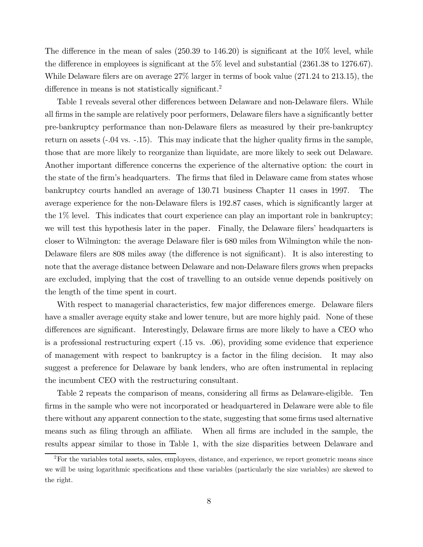The difference in the mean of sales (250.39 to 146.20) is significant at the  $10\%$  level, while the difference in employees is significant at the  $5\%$  level and substantial (2361.38 to 1276.67). While Delaware filers are on average  $27\%$  larger in terms of book value  $(271.24 \text{ to } 213.15)$ , the difference in means is not statistically significant.<sup>2</sup>

Table 1 reveals several other differences between Delaware and non-Delaware filers. While all firms in the sample are relatively poor performers, Delaware filers have a significantly better pre-bankruptcy performance than non-Delaware filers as measured by their pre-bankruptcy return on assets  $(-0.04 \text{ vs. } -0.15)$ . This may indicate that the higher quality firms in the sample, those that are more likely to reorganize than liquidate, are more likely to seek out Delaware. Another important difference concerns the experience of the alternative option: the court in the state of the firm's headquarters. The firms that filed in Delaware came from states whose bankruptcy courts handled an average of 130.71 business Chapter 11 cases in 1997. The average experience for the non-Delaware filers is 192.87 cases, which is significantly larger at the  $1\%$  level. This indicates that court experience can play an important role in bankruptcy; we will test this hypothesis later in the paper. Finally, the Delaware filers' headquarters is closer to Wilmington: the average Delaware filer is 680 miles from Wilmington while the non-Delaware filers are 808 miles away (the difference is not significant). It is also interesting to note that the average distance between Delaware and non-Delaware filers grows when prepacks are excluded, implying that the cost of travelling to an outside venue depends positively on the length of the time spent in court.

With respect to managerial characteristics, few major differences emerge. Delaware filers have a smaller average equity stake and lower tenure, but are more highly paid. None of these differences are significant. Interestingly, Delaware firms are more likely to have a CEO who is a professional restructuring expert  $(.15 \text{ vs. } .06)$ , providing some evidence that experience of management with respect to bankruptcy is a factor in the filing decision. It may also suggest a preference for Delaware by bank lenders, who are often instrumental in replacing the incumbent CEO with the restructuring consultant.

Table 2 repeats the comparison of means, considering all firms as Delaware-eligible. Ten firms in the sample who were not incorporated or headquartered in Delaware were able to file there without any apparent connection to the state, suggesting that some firms used alternative When all firms are included in the sample, the means such as filing through an affiliate. results appear similar to those in Table 1, with the size disparities between Delaware and

<sup>&</sup>lt;sup>2</sup>For the variables total assets, sales, employees, distance, and experience, we report geometric means since we will be using logarithmic specifications and these variables (particularly the size variables) are skewed to the right.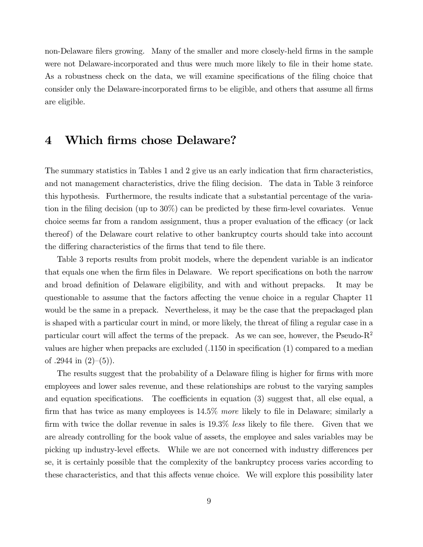non-Delaware filers growing. Many of the smaller and more closely-held firms in the sample were not Delaware-incorporated and thus were much more likely to file in their home state. As a robustness check on the data, we will examine specifications of the filing choice that consider only the Delaware-incorporated firms to be eligible, and others that assume all firms are eligible.

### Which firms chose Delaware?  $\boldsymbol{4}$

The summary statistics in Tables 1 and 2 give us an early indication that firm characteristics, and not management characteristics, drive the filing decision. The data in Table 3 reinforce this hypothesis. Furthermore, the results indicate that a substantial percentage of the variation in the filing decision (up to 30%) can be predicted by these firm-level covariates. Venue choice seems far from a random assignment, thus a proper evaluation of the efficacy (or lack thereof) of the Delaware court relative to other bankruptcy courts should take into account the differing characteristics of the firms that tend to file there.

Table 3 reports results from probit models, where the dependent variable is an indicator that equals one when the firm files in Delaware. We report specifications on both the narrow and broad definition of Delaware eligibility, and with and without prepacks. It may be questionable to assume that the factors affecting the venue choice in a regular Chapter 11 would be the same in a prepack. Nevertheless, it may be the case that the prepackaged plan is shaped with a particular court in mind, or more likely, the threat of filing a regular case in a particular court will affect the terms of the prepack. As we can see, however, the Pseudo- $R^2$ values are higher when prepacks are excluded  $(.1150$  in specification  $(1)$  compared to a median of .2944 in  $(2)-(5)$ ).

The results suggest that the probability of a Delaware filing is higher for firms with more employees and lower sales revenue, and these relationships are robust to the varying samples and equation specifications. The coefficients in equation (3) suggest that, all else equal, a firm that has twice as many employees is  $14.5\%$  more likely to file in Delaware; similarly a firm with twice the dollar revenue in sales is 19.3% less likely to file there. Given that we are already controlling for the book value of assets, the employee and sales variables may be picking up industry-level effects. While we are not concerned with industry differences per se, it is certainly possible that the complexity of the bankruptcy process varies according to these characteristics, and that this affects venue choice. We will explore this possibility later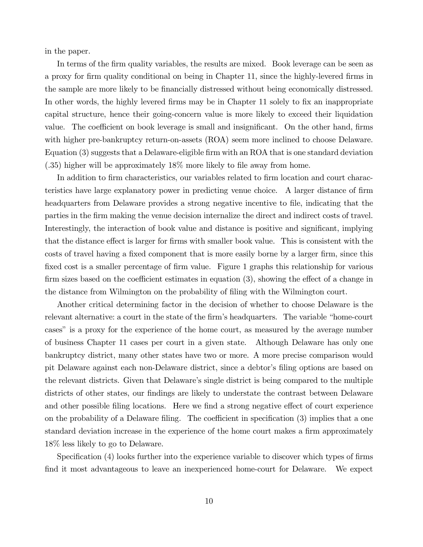in the paper.

In terms of the firm quality variables, the results are mixed. Book leverage can be seen as a proxy for firm quality conditional on being in Chapter 11, since the highly-levered firms in the sample are more likely to be financially distressed without being economically distressed. In other words, the highly levered firms may be in Chapter 11 solely to fix an inappropriate capital structure, hence their going-concern value is more likely to exceed their liquidation value. The coefficient on book leverage is small and insignificant. On the other hand, firms with higher pre-bankruptcy return-on-assets (ROA) seem more inclined to choose Delaware. Equation (3) suggests that a Delaware-eligible firm with an ROA that is one standard deviation  $(.35)$  higher will be approximately 18% more likely to file away from home.

In addition to firm characteristics, our variables related to firm location and court characteristics have large explanatory power in predicting venue choice. A larger distance of firm headquarters from Delaware provides a strong negative incentive to file, indicating that the parties in the firm making the venue decision internalize the direct and indirect costs of travel. Interestingly, the interaction of book value and distance is positive and significant, implying that the distance effect is larger for firms with smaller book value. This is consistent with the costs of travel having a fixed component that is more easily borne by a larger firm, since this fixed cost is a smaller percentage of firm value. Figure 1 graphs this relationship for various firm sizes based on the coefficient estimates in equation (3), showing the effect of a change in the distance from Wilmington on the probability of filing with the Wilmington court.

Another critical determining factor in the decision of whether to choose Delaware is the relevant alternative: a court in the state of the firm's headquarters. The variable "home-court" cases" is a proxy for the experience of the home court, as measured by the average number of business Chapter 11 cases per court in a given state. Although Delaware has only one bankruptcy district, many other states have two or more. A more precise comparison would pit Delaware against each non-Delaware district, since a debtor's filing options are based on the relevant districts. Given that Delaware's single district is being compared to the multiple districts of other states, our findings are likely to understate the contrast between Delaware and other possible filing locations. Here we find a strong negative effect of court experience on the probability of a Delaware filing. The coefficient in specification (3) implies that a one standard deviation increase in the experience of the home court makes a firm approximately 18\% less likely to go to Delaware.

Specification (4) looks further into the experience variable to discover which types of firms find it most advantageous to leave an inexperienced home-court for Delaware. We expect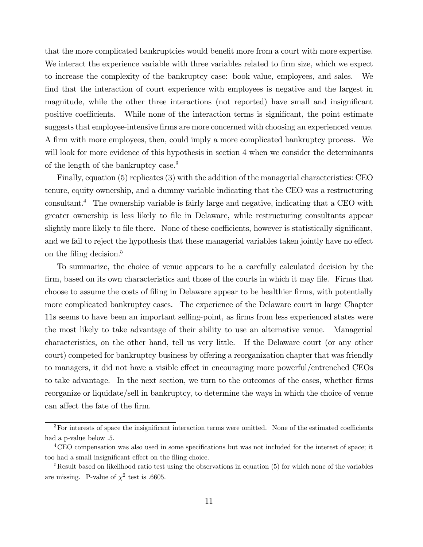that the more complicated bankruptcies would benefit more from a court with more expertise. We interact the experience variable with three variables related to firm size, which we expect to increase the complexity of the bankruptcy case: book value, employees, and sales. - We find that the interaction of court experience with employees is negative and the largest in magnitude, while the other three interactions (not reported) have small and insignificant positive coefficients. While none of the interaction terms is significant, the point estimate suggests that employee-intensive firms are more concerned with choosing an experienced venue. A firm with more employees, then, could imply a more complicated bankruptcy process. We will look for more evidence of this hypothesis in section 4 when we consider the determinants of the length of the bankruptcy case.<sup>3</sup>

Finally, equation (5) replicates (3) with the addition of the managerial characteristics: CEO tenure, equity ownership, and a dummy variable indicating that the CEO was a restructuring consultant.<sup>4</sup> The ownership variable is fairly large and negative, indicating that a CEO with greater ownership is less likely to file in Delaware, while restructuring consultants appear slightly more likely to file there. None of these coefficients, however is statistically significant, and we fail to reject the hypothesis that these managerial variables taken jointly have no effect on the filing decision. $5$ 

To summarize, the choice of venue appears to be a carefully calculated decision by the firm, based on its own characteristics and those of the courts in which it may file. Firms that choose to assume the costs of filing in Delaware appear to be healthier firms, with potentially more complicated bankruptcy cases. The experience of the Delaware court in large Chapter 11s seems to have been an important selling-point, as firms from less experienced states were the most likely to take advantage of their ability to use an alternative venue. Managerial characteristics, on the other hand, tell us very little. If the Delaware court (or any other court) competed for bankruptcy business by offering a reorganization chapter that was friendly to managers, it did not have a visible effect in encouraging more powerful/entrenched CEOs to take advantage. In the next section, we turn to the outcomes of the cases, whether firms reorganize or liquidate/sell in bankruptcy, to determine the ways in which the choice of venue can affect the fate of the firm.

 ${}^{3}$ For interests of space the insignificant interaction terms were omitted. None of the estimated coefficients had a p-value below .5.

<sup>&</sup>lt;sup>4</sup>CEO compensation was also used in some specifications but was not included for the interest of space; it too had a small insignificant effect on the filing choice.

 ${}^{5}$ Result based on likelihood ratio test using the observations in equation (5) for which none of the variables are missing. P-value of  $\chi^2$  test is .6605.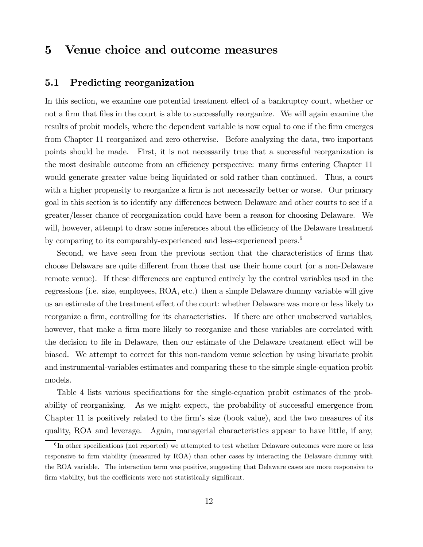### $\bf{5}$ Venue choice and outcome measures

#### $5.1$ Predicting reorganization

In this section, we examine one potential treatment effect of a bankruptcy court, whether or not a firm that files in the court is able to successfully reorganize. We will again examine the results of probit models, where the dependent variable is now equal to one if the firm emerges from Chapter 11 reorganized and zero otherwise. Before analyzing the data, two important points should be made. First, it is not necessarily true that a successful reorganization is the most desirable outcome from an efficiency perspective: many firms entering Chapter 11 would generate greater value being liquidated or sold rather than continued. Thus, a court with a higher propensity to reorganize a firm is not necessarily better or worse. Our primary goal in this section is to identify any differences between Delaware and other courts to see if a greater/lesser chance of reorganization could have been a reason for choosing Delaware. We will, however, attempt to draw some inferences about the efficiency of the Delaware treatment by comparing to its comparably-experienced and less-experienced peers.<sup>6</sup>

Second, we have seen from the previous section that the characteristics of firms that choose Delaware are quite different from those that use their home court (or a non-Delaware remote venue). If these differences are captured entirely by the control variables used in the regressions (i.e. size, employees, ROA, etc.) then a simple Delaware dummy variable will give us an estimate of the treatment effect of the court: whether Delaware was more or less likely to reorganize a firm, controlling for its characteristics. If there are other unobserved variables, however, that make a firm more likely to reorganize and these variables are correlated with the decision to file in Delaware, then our estimate of the Delaware treatment effect will be biased. We attempt to correct for this non-random venue selection by using bivariate probit and instrumental-variables estimates and comparing these to the simple single-equation probit models.

Table 4 lists various specifications for the single-equation probit estimates of the probability of reorganizing. As we might expect, the probability of successful emergence from Chapter 11 is positively related to the firm's size (book value), and the two measures of its quality, ROA and leverage. Again, managerial characteristics appear to have little, if any,

 ${}^{6}$ In other specifications (not reported) we attempted to test whether Delaware outcomes were more or less responsive to firm viability (measured by ROA) than other cases by interacting the Delaware dummy with the ROA variable. The interaction term was positive, suggesting that Delaware cases are more responsive to firm viability, but the coefficients were not statistically significant.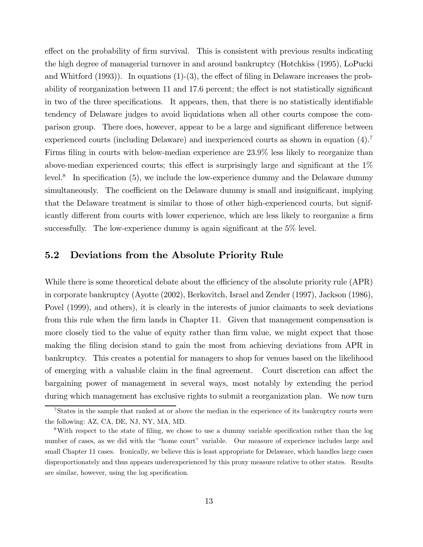effect on the probability of firm survival. This is consistent with previous results indicating the high degree of managerial turnover in and around bankruptcy (Hotchkiss (1995), LoPucki and Whitford  $(1993)$ ). In equations  $(1)-(3)$ , the effect of filing in Delaware increases the probability of reorganization between 11 and 17.6 percent; the effect is not statistically significant in two of the three specifications. It appears, then, that there is no statistically identifiable tendency of Delaware judges to avoid liquidations when all other courts compose the comparison group. There does, however, appear to be a large and significant difference between experienced courts (including Delaware) and inexperienced courts as shown in equation  $(4)$ . Firms filing in courts with below-median experience are 23.9% less likely to reorganize than above-median experienced courts; this effect is surprisingly large and significant at the  $1\%$  $level.^8$  In specification (5), we include the low-experience dummy and the Delaware dummy simultaneously. The coefficient on the Delaware dummy is small and insignificant, implying that the Delaware treatment is similar to those of other high-experienced courts, but significantly different from courts with lower experience, which are less likely to reorganize a firm successfully. The low-experience dummy is again significant at the 5% level.

#### $5.2$ Deviations from the Absolute Priority Rule

While there is some theoretical debate about the efficiency of the absolute priority rule (APR) in corporate bankruptcy (Ayotte (2002), Berkovitch, Israel and Zender (1997), Jackson (1986), Povel (1999), and others), it is clearly in the interests of junior claimants to seek deviations from this rule when the firm lands in Chapter 11. Given that management compensation is more closely tied to the value of equity rather than firm value, we might expect that those making the filing decision stand to gain the most from achieving deviations from APR in bankruptcy. This creates a potential for managers to shop for venues based on the likelihood of emerging with a valuable claim in the final agreement. Court discretion can affect the bargaining power of management in several ways, most notably by extending the period during which management has exclusive rights to submit a reorganization plan. We now turn

<sup>&</sup>lt;sup>7</sup>States in the sample that ranked at or above the median in the experience of its bankruptcy courts were the following: AZ, CA, DE, NJ, NY, MA, MD.

<sup>&</sup>lt;sup>8</sup>With respect to the state of filing, we chose to use a dummy variable specification rather than the log number of cases, as we did with the "home court" variable. Our measure of experience includes large and small Chapter 11 cases. Ironically, we believe this is least appropriate for Delaware, which handles large cases disproportionately and thus appears underexperienced by this proxy measure relative to other states. Results are similar, however, using the log specification.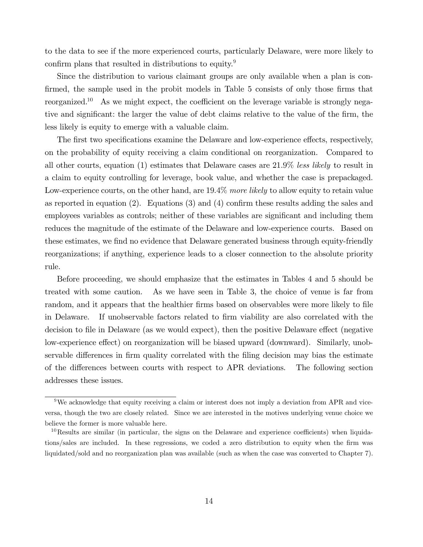to the data to see if the more experienced courts, particularly Delaware, were more likely to confirm plans that resulted in distributions to equity.<sup>9</sup>

Since the distribution to various claimant groups are only available when a plan is confirmed, the sample used in the probit models in Table 5 consists of only those firms that reorganized.<sup>10</sup> As we might expect, the coefficient on the leverage variable is strongly negative and significant: the larger the value of debt claims relative to the value of the firm, the less likely is equity to emerge with a valuable claim.

The first two specifications examine the Delaware and low-experience effects, respectively, on the probability of equity receiving a claim conditional on reorganization. Compared to all other courts, equation (1) estimates that Delaware cases are  $21.9\%$  less likely to result in a claim to equity controlling for leverage, book value, and whether the case is prepackaged. Low-experience courts, on the other hand, are 19.4% more likely to allow equity to retain value as reported in equation (2). Equations (3) and (4) confirm these results adding the sales and employees variables as controls; neither of these variables are significant and including them reduces the magnitude of the estimate of the Delaware and low-experience courts. Based on these estimates, we find no evidence that Delaware generated business through equity-friendly reorganizations; if anything, experience leads to a closer connection to the absolute priority rule.

Before proceeding, we should emphasize that the estimates in Tables 4 and 5 should be As we have seen in Table 3, the choice of venue is far from treated with some caution. random, and it appears that the healthier firms based on observables were more likely to file in Delaware. If unobservable factors related to firm viability are also correlated with the decision to file in Delaware (as we would expect), then the positive Delaware effect (negative low-experience effect) on reorganization will be biased upward (downward). Similarly, unobservable differences in firm quality correlated with the filing decision may bias the estimate of the differences between courts with respect to APR deviations. The following section addresses these issues.

<sup>&</sup>lt;sup>9</sup>We acknowledge that equity receiving a claim or interest does not imply a deviation from APR and viceversa, though the two are closely related. Since we are interested in the motives underlying venue choice we believe the former is more valuable here.

<sup>&</sup>lt;sup>10</sup>Results are similar (in particular, the signs on the Delaware and experience coefficients) when liquidations/sales are included. In these regressions, we coded a zero distribution to equity when the firm was liquidated/sold and no reorganization plan was available (such as when the case was converted to Chapter 7).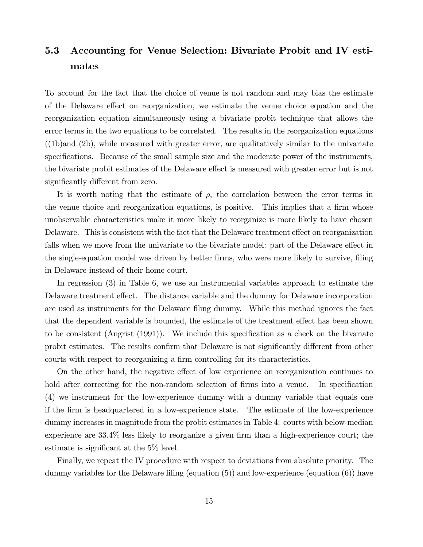### $5.3$ Accounting for Venue Selection: Bivariate Probit and IV estimates

To account for the fact that the choice of venue is not random and may bias the estimate of the Delaware effect on reorganization, we estimate the venue choice equation and the reorganization equation simultaneously using a bivariate probit technique that allows the error terms in the two equations to be correlated. The results in the reorganization equations  $((1b)$  and  $(2b)$ , while measured with greater error, are qualitatively similar to the univariate specifications. Because of the small sample size and the moderate power of the instruments, the bivariate probit estimates of the Delaware effect is measured with greater error but is not significantly different from zero.

It is worth noting that the estimate of  $\rho$ , the correlation between the error terms in the venue choice and reorganization equations, is positive. This implies that a firm whose unobservable characteristics make it more likely to reorganize is more likely to have chosen Delaware. This is consistent with the fact that the Delaware treatment effect on reorganization falls when we move from the univariate to the bivariate model: part of the Delaware effect in the single-equation model was driven by better firms, who were more likely to survive, filing in Delaware instead of their home court.

In regression  $(3)$  in Table 6, we use an instrumental variables approach to estimate the Delaware treatment effect. The distance variable and the dummy for Delaware incorporation are used as instruments for the Delaware filing dummy. While this method ignores the fact that the dependent variable is bounded, the estimate of the treatment effect has been shown to be consistent (Angrist (1991)). We include this specification as a check on the bivariate probit estimates. The results confirm that Delaware is not significantly different from other courts with respect to reorganizing a firm controlling for its characteristics.

On the other hand, the negative effect of low experience on reorganization continues to hold after correcting for the non-random selection of firms into a venue. In specification (4) we instrument for the low-experience dummy with a dummy variable that equals one if the firm is headquartered in a low-experience state. The estimate of the low-experience dummy increases in magnitude from the probit estimates in Table 4: courts with below-median experience are  $33.4\%$  less likely to reorganize a given firm than a high-experience court; the estimate is significant at the  $5\%$  level.

Finally, we repeat the IV procedure with respect to deviations from absolute priority. The dummy variables for the Delaware filing (equation  $(5)$ ) and low-experience (equation  $(6)$ ) have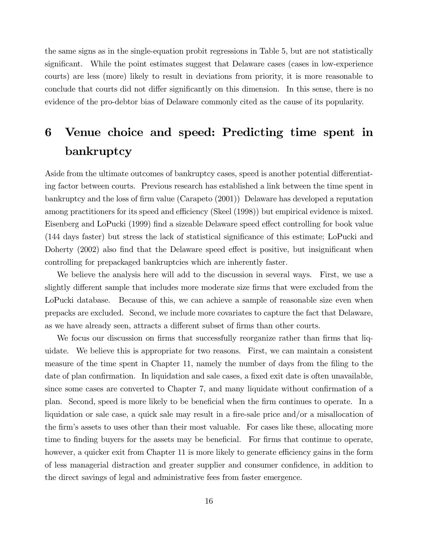the same signs as in the single-equation probit regressions in Table 5, but are not statistically significant. While the point estimates suggest that Delaware cases (cases in low-experience courts) are less (more) likely to result in deviations from priority, it is more reasonable to conclude that courts did not differ significantly on this dimension. In this sense, there is no evidence of the pro-debtor bias of Delaware commonly cited as the cause of its popularity.

# Venue choice and speed: Predicting time spent in 6 bankruptcy

Aside from the ultimate outcomes of bankruptcy cases, speed is another potential differentiating factor between courts. Previous research has established a link between the time spent in bankruptcy and the loss of firm value (Carapeto (2001)) Delaware has developed a reputation among practitioners for its speed and efficiency (Skeel (1998)) but empirical evidence is mixed. Eisenberg and LoPucki (1999) find a sizeable Delaware speed effect controlling for book value (144 days faster) but stress the lack of statistical significance of this estimate; LoPucki and Doherty (2002) also find that the Delaware speed effect is positive, but insignificant when controlling for prepackaged bankruptcies which are inherently faster.

We believe the analysis here will add to the discussion in several ways. First, we use a slightly different sample that includes more moderate size firms that were excluded from the LoPucki database. Because of this, we can achieve a sample of reasonable size even when prepacks are excluded. Second, we include more covariates to capture the fact that Delaware, as we have already seen, attracts a different subset of firms than other courts.

We focus our discussion on firms that successfully reorganize rather than firms that liquidate. We believe this is appropriate for two reasons. First, we can maintain a consistent measure of the time spent in Chapter 11, namely the number of days from the filing to the date of plan confirmation. In liquidation and sale cases, a fixed exit date is often unavailable, since some cases are converted to Chapter 7, and many liquidate without confirmation of a plan. Second, speed is more likely to be beneficial when the firm continues to operate. In a liquidation or sale case, a quick sale may result in a fire-sale price and/or a misallocation of the firm's assets to uses other than their most valuable. For cases like these, allocating more time to finding buyers for the assets may be beneficial. For firms that continue to operate, however, a quicker exit from Chapter 11 is more likely to generate efficiency gains in the form of less managerial distraction and greater supplier and consumer confidence, in addition to the direct savings of legal and administrative fees from faster emergence.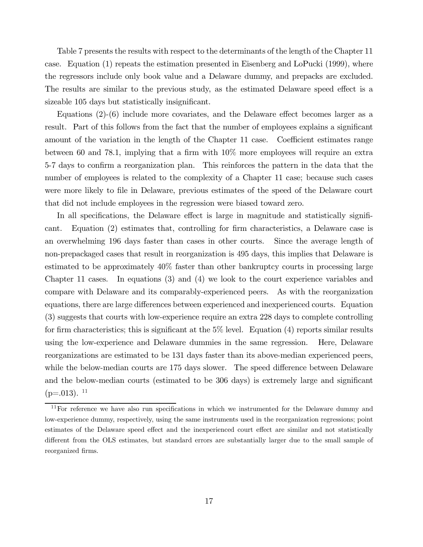Table 7 presents the results with respect to the determinants of the length of the Chapter 11 case. Equation  $(1)$  repeats the estimation presented in Eisenberg and LoPucki  $(1999)$ , where the regressors include only book value and a Delaware dummy, and prepacks are excluded. The results are similar to the previous study, as the estimated Delaware speed effect is a sizeable 105 days but statistically insignificant.

Equations  $(2)-(6)$  include more covariates, and the Delaware effect becomes larger as a result. Part of this follows from the fact that the number of employees explains a significant amount of the variation in the length of the Chapter 11 case. Coefficient estimates range between 60 and 78.1, implying that a firm with  $10\%$  more employees will require an extra 5-7 days to confirm a reorganization plan. This reinforces the pattern in the data that the number of employees is related to the complexity of a Chapter 11 case; because such cases were more likely to file in Delaware, previous estimates of the speed of the Delaware court that did not include employees in the regression were biased toward zero.

In all specifications, the Delaware effect is large in magnitude and statistically signifi-Equation (2) estimates that, controlling for firm characteristics, a Delaware case is cant. an overwhelming 196 days faster than cases in other courts. Since the average length of non-prepackaged cases that result in reorganization is 495 days, this implies that Delaware is estimated to be approximately  $40\%$  faster than other bankruptcy courts in processing large Chapter 11 cases. In equations (3) and (4) we look to the court experience variables and compare with Delaware and its comparably-experienced peers. As with the reorganization equations, there are large differences between experienced and inexperienced courts. Equation (3) suggests that courts with low-experience require an extra 228 days to complete controlling for firm characteristics; this is significant at the  $5\%$  level. Equation (4) reports similar results using the low-experience and Delaware dummies in the same regression. Here, Delaware reorganizations are estimated to be 131 days faster than its above-median experienced peers, while the below-median courts are 175 days slower. The speed difference between Delaware and the below-median courts (estimated to be 306 days) is extremely large and significant  $(p=.013).$ <sup>11</sup>

 $11$  For reference we have also run specifications in which we instrumented for the Delaware dummy and low-experience dummy, respectively, using the same instruments used in the reorganization regressions; point estimates of the Delaware speed effect and the inexperienced court effect are similar and not statistically different from the OLS estimates, but standard errors are substantially larger due to the small sample of reorganized firms.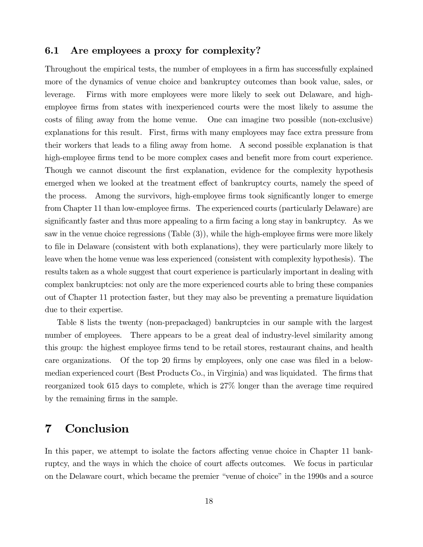#### Are employees a proxy for complexity?  $6.1$

Throughout the empirical tests, the number of employees in a firm has successfully explained more of the dynamics of venue choice and bankruptcy outcomes than book value, sales, or Firms with more employees were more likely to seek out Delaware, and highleverage. employee firms from states with inexperienced courts were the most likely to assume the costs of filing away from the home venue. One can imagine two possible (non-exclusive) explanations for this result. First, firms with many employees may face extra pressure from their workers that leads to a filing away from home. A second possible explanation is that high-employee firms tend to be more complex cases and benefit more from court experience. Though we cannot discount the first explanation, evidence for the complexity hypothesis emerged when we looked at the treatment effect of bankruptcy courts, namely the speed of the process. Among the survivors, high-employee firms took significantly longer to emerge from Chapter 11 than low-employee firms. The experienced courts (particularly Delaware) are significantly faster and thus more appealing to a firm facing a long stay in bankruptcy. As we saw in the venue choice regressions  $(Table (3))$ , while the high-employee firms were more likely to file in Delaware (consistent with both explanations), they were particularly more likely to leave when the home venue was less experienced (consistent with complexity hypothesis). The results taken as a whole suggest that court experience is particularly important in dealing with complex bankruptcies: not only are the more experienced courts able to bring these companies out of Chapter 11 protection faster, but they may also be preventing a premature liquidation due to their expertise.

Table 8 lists the twenty (non-prepackaged) bankruptcies in our sample with the largest number of employees. There appears to be a great deal of industry-level similarity among this group: the highest employee firms tend to be retail stores, restaurant chains, and health care organizations. Of the top 20 firms by employees, only one case was filed in a belowmedian experienced court (Best Products Co., in Virginia) and was liquidated. The firms that reorganized took 615 days to complete, which is 27% longer than the average time required by the remaining firms in the sample.

### $\overline{7}$ Conclusion

In this paper, we attempt to isolate the factors affecting venue choice in Chapter 11 bankruptcy, and the ways in which the choice of court affects outcomes. We focus in particular on the Delaware court, which became the premier "venue of choice" in the 1990s and a source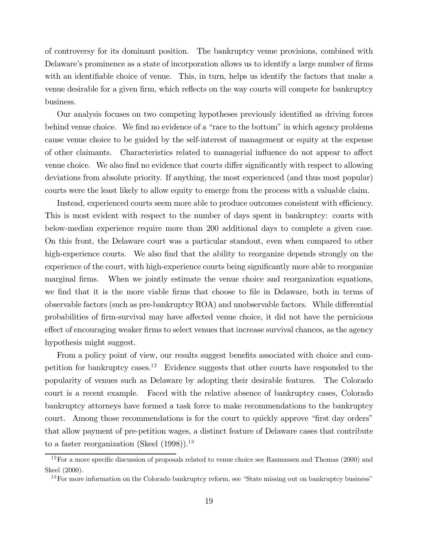of controversy for its dominant position. The bankruptcy venue provisions, combined with Delaware's prominence as a state of incorporation allows us to identify a large number of firms with an identifiable choice of venue. This, in turn, helps us identify the factors that make a venue desirable for a given firm, which reflects on the way courts will compete for bankruptcy business.

Our analysis focuses on two competing hypotheses previously identified as driving forces behind venue choice. We find no evidence of a "race to the bottom" in which agency problems cause venue choice to be guided by the self-interest of management or equity at the expense of other claimants. Characteristics related to managerial influence do not appear to affect venue choice. We also find no evidence that courts differ significantly with respect to allowing deviations from absolute priority. If anything, the most experienced (and thus most popular) courts were the least likely to allow equity to emerge from the process with a valuable claim.

Instead, experienced courts seem more able to produce outcomes consistent with efficiency. This is most evident with respect to the number of days spent in bankruptcy: courts with below-median experience require more than 200 additional days to complete a given case. On this front, the Delaware court was a particular standout, even when compared to other high-experience courts. We also find that the ability to reorganize depends strongly on the experience of the court, with high-experience courts being significantly more able to reorganize marginal firms. When we jointly estimate the venue choice and reorganization equations, we find that it is the more viable firms that choose to file in Delaware, both in terms of observable factors (such as pre-bankruptcy ROA) and unobservable factors. While differential probabilities of firm-survival may have affected venue choice, it did not have the pernicious effect of encouraging weaker firms to select venues that increase survival chances, as the agency hypothesis might suggest.

From a policy point of view, our results suggest benefits associated with choice and competition for bankruptcy cases.<sup>12</sup> Evidence suggests that other courts have responded to the popularity of venues such as Delaware by adopting their desirable features. The Colorado court is a recent example. Faced with the relative absence of bankruptcy cases, Colorado bankruptcy attorneys have formed a task force to make recommendations to the bankruptcy court. Among those recommendations is for the court to quickly approve "first day orders" that allow payment of pre-petition wages, a distinct feature of Delaware cases that contribute to a faster reorganization (Skeel  $(1998)$ ).<sup>13</sup>

 $12$  For a more specific discussion of proposals related to venue choice see Rasmussen and Thomas (2000) and Skeel (2000).

 $13$  For more information on the Colorado bankruptcy reform, see "State missing out on bankruptcy business"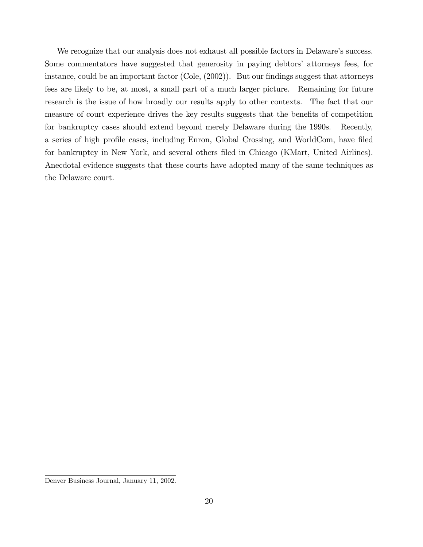We recognize that our analysis does not exhaust all possible factors in Delaware's success. Some commentators have suggested that generosity in paying debtors' attorneys fees, for instance, could be an important factor (Cole,  $(2002)$ ). But our findings suggest that attorneys fees are likely to be, at most, a small part of a much larger picture. Remaining for future research is the issue of how broadly our results apply to other contexts. The fact that our measure of court experience drives the key results suggests that the benefits of competition for bankruptcy cases should extend beyond merely Delaware during the 1990s. Recently. a series of high profile cases, including Enron, Global Crossing, and WorldCom, have filed for bankruptcy in New York, and several others filed in Chicago (KMart, United Airlines). Anecdotal evidence suggests that these courts have adopted many of the same techniques as the Delaware court.

Denver Business Journal, January 11, 2002.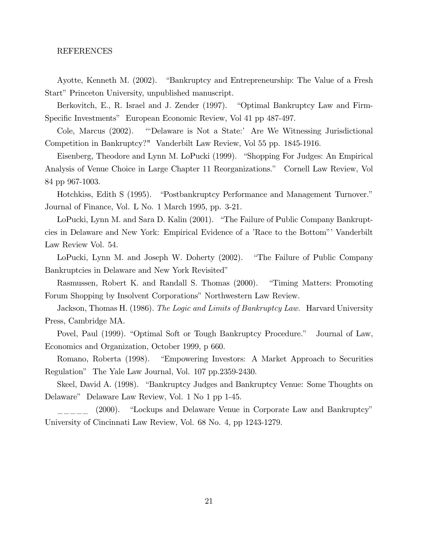### REFERENCES

Ayotte, Kenneth M. (2002). "Bankruptcy and Entrepreneurship: The Value of a Fresh Start" Princeton University, unpublished manuscript.

Berkovitch, E., R. Israel and J. Zender (1997). "Optimal Bankruptcy Law and Firm-Specific Investments" European Economic Review, Vol 41 pp 487-497.

Cole, Marcus  $(2002)$ . "Delaware is Not a State:' Are We Witnessing Jurisdictional Competition in Bankruptcy?" Vanderbilt Law Review, Vol 55 pp. 1845-1916.

Eisenberg, Theodore and Lynn M. LoPucki (1999). "Shopping For Judges: An Empirical Analysis of Venue Choice in Large Chapter 11 Reorganizations." Cornell Law Review, Vol 84 pp 967-1003.

Hotchkiss, Edith S (1995). "Postbankruptcy Performance and Management Turnover." Journal of Finance, Vol. L No. 1 March 1995, pp. 3-21.

LoPucki, Lynn M. and Sara D. Kalin (2001). "The Failure of Public Company Bankruptcies in Delaware and New York: Empirical Evidence of a 'Race to the Bottom'' Vanderbilt Law Review Vol. 54.

LoPucki, Lynn M. and Joseph W. Doherty (2002). "The Failure of Public Company" Bankruptcies in Delaware and New York Revisited"

Rasmussen, Robert K. and Randall S. Thomas (2000). "Timing Matters: Promoting" Forum Shopping by Insolvent Corporations" Northwestern Law Review.

Jackson, Thomas H. (1986). The Logic and Limits of Bankruptcy Law. Harvard University Press, Cambridge MA.

Povel, Paul (1999). "Optimal Soft or Tough Bankruptcy Procedure." Journal of Law, Economics and Organization, October 1999, p 660.

Romano, Roberta (1998). "Empowering Investors: A Market Approach to Securities Regulation" The Yale Law Journal, Vol. 107 pp.2359-2430.

Skeel, David A. (1998). "Bankruptcy Judges and Bankruptcy Venue: Some Thoughts on Delaware" Delaware Law Review, Vol. 1 No 1 pp 1-45.

 $(2000).$ "Lockups and Delaware Venue in Corporate Law and Bankruptcy" University of Cincinnati Law Review, Vol. 68 No. 4, pp 1243-1279.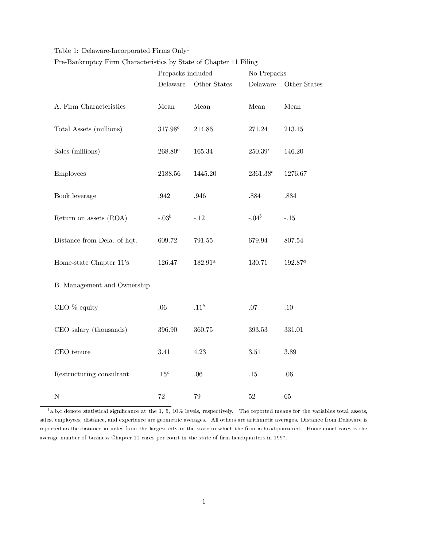## Table 1: Delaware-Incorporated Firms  $\mathrm{Only}^1$

Pre-Bankruptcy Firm Characteristics by State of Chapter 11 Filing

|                             | Prepacks included |                  | No Prepacks   |              |  |
|-----------------------------|-------------------|------------------|---------------|--------------|--|
|                             | Delaware          | Other States     | Delaware      | Other States |  |
| A. Firm Characteristics     | ${\it Mean}$      | Mean             | ${\it Mean}$  | ${\it Mean}$ |  |
| Total Assets (millions)     | $317.98^c$        | $214.86\,$       | 271.24        | 213.15       |  |
| Sales (millions)            | $268.80^c$        | 165.34           | $250.39^c$    | 146.20       |  |
| Employees                   | 2188.56           | 1445.20          | $2361.38^{b}$ | 1276.67      |  |
| Book leverage               | $.942\,$          | .946             | $.884\,$      | $.884\,$     |  |
| Return on assets (ROA)      | $-.03b$           | $-.12$           | $-.04^b$      | $-.15$       |  |
| Distance from Dela. of hqt. | 609.72            | 791.55           | 679.94        | 807.54       |  |
| Home-state Chapter 11's     | 126.47            | $182.91^a$       | 130.71        | $192.87^a$   |  |
| B. Management and Ownership |                   |                  |               |              |  |
| CEO % equity                | .06               | .11 <sup>b</sup> | $.07\,$       | $.10\,$      |  |
| CEO salary (thousands)      | 396.90            | 360.75           | 393.53        | 331.01       |  |
| CEO tenure                  | 3.41              | 4.23             | $3.51\,$      | 3.89         |  |
| Restructuring consultant    | $.15^c$           | $.06\,$          | $.15\,$       | $.06\,$      |  |
| $\mathbf N$                 | $72\,$            | 79               | $52\,$        | $65\,$       |  |

 $1a,b,c$  denote statistical significance at the 1, 5, 10% levels, respectively. The reported means for the variables total assets, sales, employees, distance, and experience are geometric averages. All others are arithmetic averages. Distance from Delaware is reported as the distance in miles from the largest city in the state in which the firm is headquartered. Home-court cases is the average number of business Chapter 11 cases per court in the state of firm headquarters in 1997.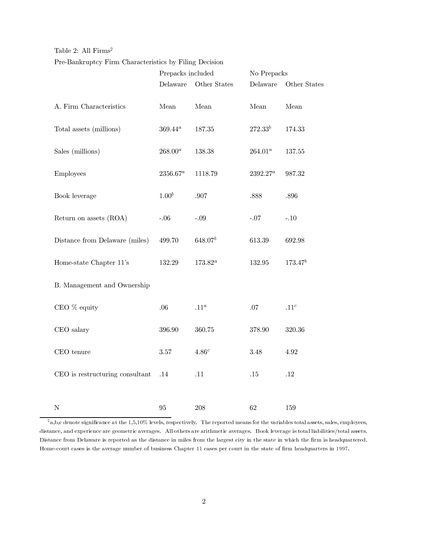### Table 2: All  $Firms<sup>2</sup>$

### Pre-Bankruptcy Firm Characteristics by Filing Decision

|                                 | Prepacks included |              | No Prepacks  |                  |  |
|---------------------------------|-------------------|--------------|--------------|------------------|--|
|                                 | Delaware          | Other States | Delaware     | Other States     |  |
| A. Firm Characteristics         | Mean              | Mean         | Mean         | Mean             |  |
| Total assets (millions)         | $369.44^a$        | 187.35       | $272.33^{b}$ | 174.33           |  |
| Sales (millions)                | $268.00^a$        | $138.38\,$   | $264.01^a$   | 137.55           |  |
| Employees                       | $2356.67^a$       | 1118.79      | $2392.27^a$  | 987.32           |  |
| Book leverage                   | $1.00^{b}$        | $.907$       | .888         | .896             |  |
| Return on assets (ROA)          | $-.06$            | $-.09$       | $-.07$       | $-.10$           |  |
| Distance from Delaware (miles)  | 499.70            | $648.07^{b}$ | 613.39       | 692.98           |  |
| Home-state Chapter 11's         | 132.29            | $173.82^a$   | 132.95       | $173.47^{b}$     |  |
| B. Management and Ownership     |                   |              |              |                  |  |
| CEO % equity                    | .06               | $.11^a$      | $.07\,$      | .11 <sup>c</sup> |  |
| CEO salary                      | 396.90            | 360.75       | 378.90       | 320.36           |  |
| $CEO$ tenure                    | $3.57\,$          | $4.86^c$     | $3.48\,$     | 4.92             |  |
| CEO is restructuring consultant | .14               | .11          | $.15\,$      | $.12\,$          |  |
|                                 |                   |              |              |                  |  |
| $\mathbf N$                     | 95                | 208          | 62           | 159              |  |

 $2a$ , b, c denote significance at the 1,5,10% levels, respectively. The reported means for the variables total assets, sales, employees, distance, and experience are geometric averages. All others are arithmetic averages. Book leverage is total liabilities/total assets. Distance from Delaware is reported as the distance in miles from the largest city in the state in which the firm is headquartered. Home-court cases is the average number of business Chapter 11 cases per court in the state of firm headquarters in 1997.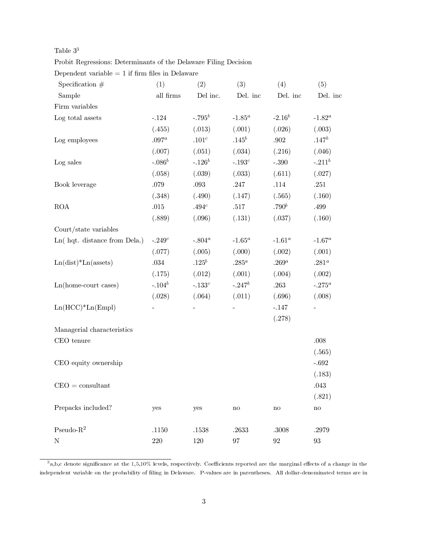## Table  $3^3$

Probit Regressions: Determinants of the Delaware Filing Decision

Dependent variable  $=$  1 if firm files in Delaware

| Specification $#$            | (1)       | (2)                      | (3)                      | (4)                    | (5)               |
|------------------------------|-----------|--------------------------|--------------------------|------------------------|-------------------|
| Sample                       | all firms | Del inc.                 | Del. inc                 | Del. inc               | Del. inc          |
| Firm variables               |           |                          |                          |                        |                   |
| Log total assets             | $-.124$   | $-.795^b$                | $-1.85^a$                | $-2.16^b$              | $-1.82^a$         |
|                              | (.455)    | (.013)                   | (.001)                   | (.026)                 | (.003)            |
| Log employees                | $.097^a$  | $.101^c$                 | $.145^b$                 | $.902\,$               | $.147^b$          |
|                              | (.007)    | (.051)                   | (.034)                   | (.216)                 | (.046)            |
| Log sales                    | $-.086^b$ | $-.126^b$                | $-.193^c$                | $-.390$                | $-.211^b$         |
|                              | (.058)    | (.039)                   | (.033)                   | (.611)                 | (.027)            |
| Book leverage                | $.079\,$  | $.093\,$                 | $.247\,$                 | $.114\,$               | $.251\,$          |
|                              | (.348)    | (.490)                   | (.147)                   | (.565)                 | (.160)            |
| $\rm{ROA}$                   | $.015\,$  | $.494^c$                 | $.517\,$                 | .790 <sup>b</sup>      | .499              |
|                              | (.889)    | (.096)                   | (.131)                   | (.037)                 | (.160)            |
| Court/state variables        |           |                          |                          |                        |                   |
| Ln(hqt. distance from Dela.) | $-.249^c$ | $-.804^a$                | $-1.65^a$                | $-1.61^a$              | $-1.67^a$         |
|                              | (.077)    | (.005)                   | (.000)                   | (.002)                 | (.001)            |
| $Ln(dist)*Ln(assets)$        | $.034\,$  | $.125^b$                 | $.285^a$                 | $.269^a$               | $.281^a$          |
|                              | (.175)    | (.012)                   | (.001)                   | (.004)                 | (.002)            |
| $Ln(home-court cases)$       | $-.104^b$ | $-.133^c$                | $-.247$ <sup>b</sup>     | .263                   | $-.275^a$         |
|                              | (.028)    | (.064)                   | (.011)                   | (.696)                 | (.008)            |
| $Ln(HCC)*Ln(Empl)$           |           | $\overline{\phantom{0}}$ | $\overline{\phantom{0}}$ | $-.147$                | н.                |
|                              |           |                          |                          | (.278)                 |                   |
| Managerial characteristics   |           |                          |                          |                        |                   |
| CEO tenure                   |           |                          |                          |                        | $.008$            |
|                              |           |                          |                          |                        | (.565)            |
| CEO equity ownership         |           |                          |                          |                        | $-.692$           |
|                              |           |                          |                          |                        | (.183)            |
| $CEO =$ consultant           |           |                          |                          |                        | .043              |
|                              |           |                          |                          |                        | (.821)            |
| Prepacks included?           | yes       | yes                      | $\mathbf{n}\mathbf{o}$   | $\mathop{\mathrm{no}}$ | $\mathbf{no}$     |
| Pseudo- $R^2$                | .1150     | .1538                    | .2633                    | .3008                  | .2979             |
| $\mathbf N$                  | 220       | 120                      | $\rm 97$                 | $\boldsymbol{92}$      | $\boldsymbol{93}$ |

 $3a,b,c$  denote significance at the  $1,5,10\%$  levels, respectively. Coefficients reported are the marginal effects of a change in the independent variable on the probability of filing in Delaware. P-values are in parentheses. All dollar-denominated terms are in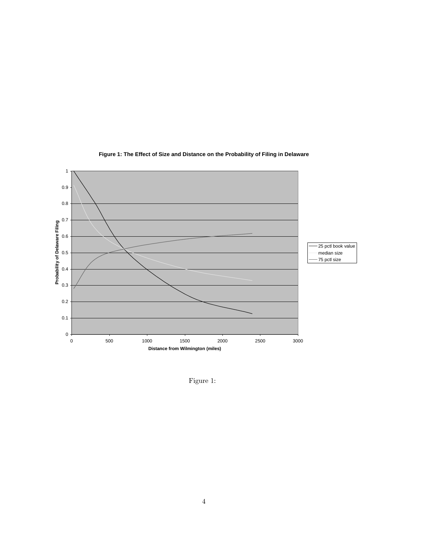

## **Figure 1: The Effect of Size and Distance on the Probability of Filing in Delaware**

Figure 1: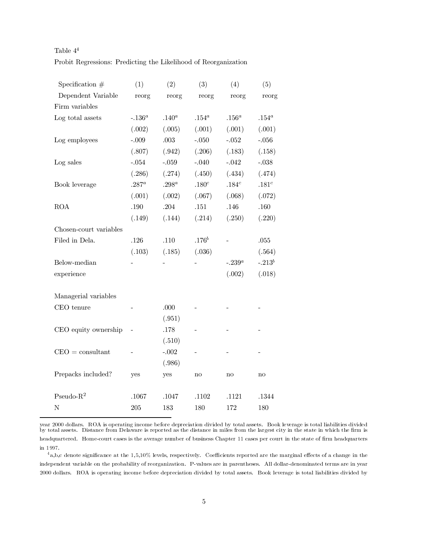| Table $4^4$ |                                                                 |
|-------------|-----------------------------------------------------------------|
|             | Probit Regressions: Predicting the Likelihood of Reorganization |

| Specification $#$      | (1)       | (2)       | (3)               | (4)       | (5)               |
|------------------------|-----------|-----------|-------------------|-----------|-------------------|
| Dependent Variable     | reorg     | reorg     | reorg             | reorg     | reorg             |
| Firm variables         |           |           |                   |           |                   |
| Log total assets       | $-.136^a$ | $.140^a$  | $.154^a$          | $.156^a$  | $.154^a$          |
|                        | (.002)    | (.005)    | (.001)            | (.001)    | (.001)            |
| Log employees          | $-.009$   | $.003$    | $-.050$           | $-.052$   | $-.056$           |
|                        | (.807)    | (.942)    | (.206)            | (.183)    | (.158)            |
| Log sales              | $-.054$   | $-.059$   | $-.040$           | $-.042$   | $-.038$           |
|                        | (.286)    | (.274)    | (.450)            | (.434)    | (.474)            |
| Book leverage          | $.287^a$  | .298 $^a$ | .180 <sup>c</sup> | $.184^c$  | .181 <sup>c</sup> |
|                        | (.001)    | (.002)    | (.067)            | (.068)    | (.072)            |
| <b>ROA</b>             | .190      | .204      | $.151\,$          | .146      | .160              |
|                        | (.149)    | (.144)    | (.214)            | (.250)    | (.220)            |
| Chosen-court variables |           |           |                   |           |                   |
| Filed in Dela.         | .126      | .110      | .176 <sup>b</sup> |           | .055              |
|                        | (.103)    | (.185)    | (.036)            |           | (.564)            |
| Below-median           |           |           |                   | $-.239^a$ | $-.213^b$         |
| experience             |           |           |                   | (.002)    | (.018)            |
|                        |           |           |                   |           |                   |
| Managerial variables   |           |           |                   |           |                   |
| CEO tenure             |           | .000      |                   |           |                   |
|                        |           | (.951)    |                   |           |                   |
| CEO equity ownership   |           | .178      |                   |           |                   |
|                        |           | (.510)    |                   |           |                   |
| $CEO =$ consultant     |           | $-.002$   |                   |           |                   |
|                        |           | (.986)    |                   |           |                   |
| Prepacks included?     | yes       | yes       | no                | no        | no                |
|                        |           |           |                   |           |                   |
| Pseudo- $R^2$          | .1067     | .1047     | .1102             | .1121     | .1344             |
| $\mathbf N$            | 205       | 183       | 180               | 172       | 180               |

year 2000 dollars. ROA is operating income before depreciation divided by total assets. Book leverage is total liabilities divided by total assets. Distance from Delaware is reported as the distance in miles from the largest city in the state in which the firm is headquartered. Home-court cases is the average number of business Chapter 11 cases per court in the state of firm headquarters in 1997.

 $4a,b,c$  denote significance at the  $1,5,10\%$  levels, respectively. Coefficients reported are the marginal effects of a change in the independent variable on the probability of reorganization. P-values are in parentheses. All dollar-denominated terms are in year 2000 dollars. ROA is operating income before depreciation divided by total assets. Book leverage is total liabilities divided by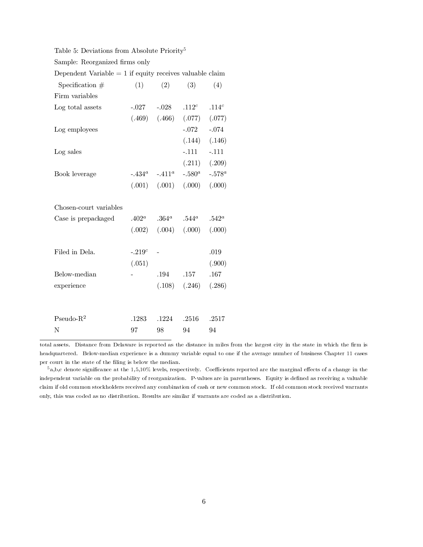Table 5: Deviations from Absolute Priority<sup>5</sup>

| Sample: Reorganized firms only |  |  |  |
|--------------------------------|--|--|--|
|                                |  |  |  |

Dependent Variable  $= 1$  if equity receives valuable claim

| Specification $#$      | (1)        | (2)                        | (3)       | (4)               |
|------------------------|------------|----------------------------|-----------|-------------------|
| Firm variables         |            |                            |           |                   |
| Log total assets       |            | $-.027-.028$               | $.112^c$  | .114 $^c$         |
|                        |            | $(.469)$ $(.466)$ $(.077)$ |           | (.077)            |
| Log employees          |            |                            | $-.072$   | $-.074$           |
|                        |            |                            |           | $(.144)$ $(.146)$ |
| Log sales              |            |                            | $-.111$   | $-.111$           |
|                        |            |                            | (.211)    | (.209)            |
| Book leverage          |            | $-434^a$ $-411^a$          | $-.580^a$ | $-.578^a$         |
|                        |            | $(.001)$ $(.001)$          | (.000)    | (.000)            |
| Chosen-court variables |            |                            |           |                   |
| Case is prepackaged    | $.402^a$   | $.364^a$                   | $.544^a$  | $.542^a$          |
|                        |            | $(.002)$ $(.004)$          | (.000)    | (.000)            |
|                        |            |                            |           |                   |
| Filed in Dela.         | -. $219^c$ |                            |           | .019              |
|                        | (.051)     |                            |           | (.900)            |
| Below-median           |            | .194                       | .157      | .167              |
| experience             |            | (.108)                     | (.246)    | (.286)            |
|                        |            |                            |           |                   |
| Pseudo- $R^2$          | .1283      | .1224                      | .2516     | .2517             |
| N                      | 97         | 98                         | 94        | 94                |

total assets. Distance from Delaware is reported as the distance in miles from the largest city in the state in which the firm is headquartered. Below-median experience is a dummy variable equal to one if the average number of business Chapter 11 cases per court in the state of the filing is below the median.

 $5a,b,c$  denote significance at the 1,5,10% levels, respectively. Coefficients reported are the marginal effects of a change in the independent variable on the probability of reorganization. P-values are in parentheses. Equity is defined as receiving a valuable claim if old common stockholders received any combination of cash or new common stock. If old common stock received warrants only, this was coded as no distribution. Results are similar if warrants are coded as a distribution.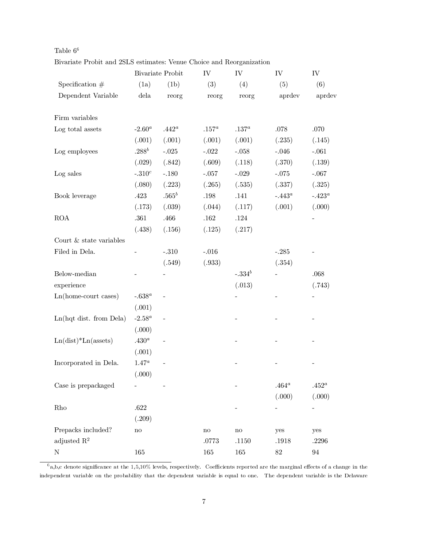|                         |                   | <b>Bivariate Probit</b> | ${\rm IV}$ | ${\rm IV}$ | ${\rm IV}$ | ${\rm IV}$ |
|-------------------------|-------------------|-------------------------|------------|------------|------------|------------|
| Specification $#$       | (1a)              | (1b)                    | (3)        | (4)        | (5)        | (6)        |
| Dependent Variable      | dela              | reorg                   | reorg      | reorg      | aprdev     | aprdev     |
| Firm variables          |                   |                         |            |            |            |            |
| Log total assets        | $-2.60^a$         | $.442^a$                | $.157^a$   | .137 $^a$  | .078       | .070       |
|                         | (.001)            | (.001)                  | (.001)     | (.001)     | (.235)     | (.145)     |
| Log employees           | $.288^b$          | $-.025$                 | $-.022$    | $-.058$    | $-.046$    | $-.061$    |
|                         | (.029)            | (.842)                  | (.609)     | (.118)     | (.370)     | (.139)     |
| Log sales               | $-.310^c$         | $-.180$                 | $-.057$    | $-.029$    | $-.075$    | $-.067$    |
|                         | (.080)            | (.223)                  | (.265)     | (.535)     | (.337)     | (.325)     |
| Book leverage           | .423              | $.565^b$                | $.198\,$   | .141       | $-.443^a$  | $-.423^a$  |
|                         | (.173)            | (.039)                  | (.044)     | (.117)     | (.001)     | (.000)     |
| $\rm{ROA}$              | .361              | .466                    | $.162\,$   | $.124\,$   |            |            |
|                         | (.438)            | (.156)                  | (.125)     | (.217)     |            |            |
| Court & state variables |                   |                         |            |            |            |            |
| Filed in Dela.          |                   | $-.310$                 | $-.016$    |            | $-.285$    |            |
|                         |                   | (.549)                  | (.933)     |            | (.354)     |            |
| Below-median            |                   |                         |            | $-.334b$   |            | .068       |
| experience              |                   |                         |            | (.013)     |            | (.743)     |
| Ln(home-court cases)    | $-638^a$          |                         |            |            |            |            |
|                         | (.001)            |                         |            |            |            |            |
| Ln(hqt dist. from Dela) | -2.58 $^a$        |                         |            |            |            |            |
|                         | (.000)            |                         |            |            |            |            |
| $Ln(dist)*Ln(assets)$   | .430 <sup>a</sup> |                         |            |            |            |            |
|                         | (.001)            |                         |            |            |            |            |
| Incorporated in Dela.   | $1.47^a$          |                         |            |            |            |            |
|                         | (.000)            |                         |            |            |            |            |
| Case is prepackaged     |                   |                         |            |            | $.464^a$   | $.452^a$   |
|                         |                   |                         |            |            | (.000)     | (.000)     |
| Rho                     | $.622\,$          |                         |            |            |            |            |
|                         | (.209)            |                         |            |            |            |            |
| Prepacks included?      | $\rm no$          |                         | $\rm{no}$  | $\rm{no}$  | yes        | yes        |
| adjusted $R^2$          |                   |                         | .0773      | $.1150\,$  | .1918      | $.2296\,$  |
| $\mathbf N$             | 165               |                         | $165\,$    | 165        | $82\,$     | $94\,$     |

| Table $6^6$                                                          |  |  |  |  |
|----------------------------------------------------------------------|--|--|--|--|
| Bivariate Probit and 2SLS estimates: Venue Choice and Reorganization |  |  |  |  |

 $6a,b,c$  denote significance at the 1,5,10% levels, respectively. Coefficients reported are the marginal effects of a change in the independent variable on the probability that the dependent variable is equal to one. The dependent variable is the Delaware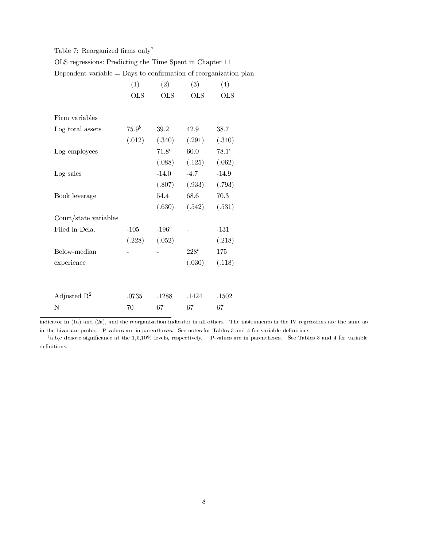## Table 7: Reorganized firms  $\mathrm{only}^7$

| OLS regressions: Predicting the Time Spent in Chapter 11 |  |  |  |  |
|----------------------------------------------------------|--|--|--|--|
|                                                          |  |  |  |  |

Dependent variable  $=$  Days to confirmation of reorganization plan

|                         | (1)        | (2)        | (3)        | (4)        |
|-------------------------|------------|------------|------------|------------|
|                         | <b>OLS</b> | <b>OLS</b> | <b>OLS</b> | <b>OLS</b> |
| Firm variables          |            |            |            |            |
| Log total assets        | $75.9^b$   | 39.2       | 42.9       | 38.7       |
|                         | (.012)     | (.340)     | (.291)     | (.340)     |
| Log employees           |            | $71.8^{c}$ | $60.0\,$   | $78.1^c$   |
|                         |            | (.088)     | (.125)     | (.062)     |
| Log sales               |            | $-14.0$    | $-4.7$     | $-14.9$    |
|                         |            | (.807)     | (.933)     | (.793)     |
| Book leverage           |            | 54.4       | 68.6       | 70.3       |
|                         |            | (.630)     | (.542)     | (.531)     |
| Court/state variables   |            |            |            |            |
| Filed in Dela.          | $-105$     | $-196^b$   |            | $-131$     |
|                         | (.228)     | (.052)     |            | (.218)     |
| Below-median            |            |            | $228^b$    | 175        |
| experience              |            |            | (.030)     | (.118)     |
|                         |            |            |            |            |
| Adjusted $\mathbb{R}^2$ | .0735      | .1288      | .1424      | .1502      |
| Ν                       | 70         | 67         | 67         | 67         |

indicator in (1a) and (2a), and the reorganization indicator in all others. The instruments in the IV regressions are the same as in the bivariate probit. P-values are in parentheses. See notes for Tables 3 and 4 for variable definitions.

 $7a,b,c$  denote significance at the 1,5,10% levels, respectively. P-values are in parentheses. See Tables 3 and 4 for variable definitions.